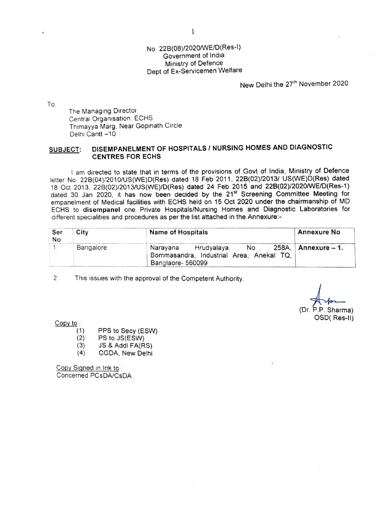## No. 228(08)/2020/WE/D(Res-l) Government of India Ministry of Defence Dept of Ex-Servicemen Welfare

New Delhi the 27<sup>th</sup> November 2020

To,

The Managing Director Central Organisation . ECHS Thimayya Marg, Near Gopinath Circle Delhi Cantt -10

## **SUBJECT: DISEMPANELMENT OF HOSPITALS/ NURSING HOMES AND DIAGNOSTIC CENTRES FOR ECHS**

I am directed to state that in terms of the provisions of Govt of India, Ministry of Defence letter No. 22B(04)/2010/US(WE)D(Res) dated 18 Feb 2011, 22B(02)/2013/ US(WE)D(Res) dated 18 Oct 2013, 226(02)/2013/US(WE)/D(Res) dated 24 Feb 2015 and 228(02)/2020/WE/D(Res-1) dated 30 Jan 2020, it has now been decided by the 21<sup>st</sup> Screening Committee Meeting for empanelment of Medical facilities with ECHS held on 15 Oct 2020 under the chairmanship of MD ECHS to **disempanel** one Private Hospitals/Nursing Homes and Diagnostic Laboratories for different specialities and procedures as per the list attached in the Annexure:-

| Ser<br>No | City | <b>Name of Hospitals</b>                                                                     | <b>Annexure No</b>    |
|-----------|------|----------------------------------------------------------------------------------------------|-----------------------|
| Bangalore |      | No.<br>Narayana Hrudyalaya,<br>Bommasandra, Industrial Area, Anekal TQ,<br>Banglaore- 560099 | 258A,   Annexure – 1. |

2 This issues with the approval of the Competent Authority.

(Dr. P.P. Sharma) OSD( Res-II)

Copy to :

- (1) PPS to Secy (ESW)
- (2) PS to JS(ESW)
- (3) JS & Addi FA(RS)
- (4) CGDA, New Delhi

Copy Signed in Ink to . Concerned PCsDA/CsDA